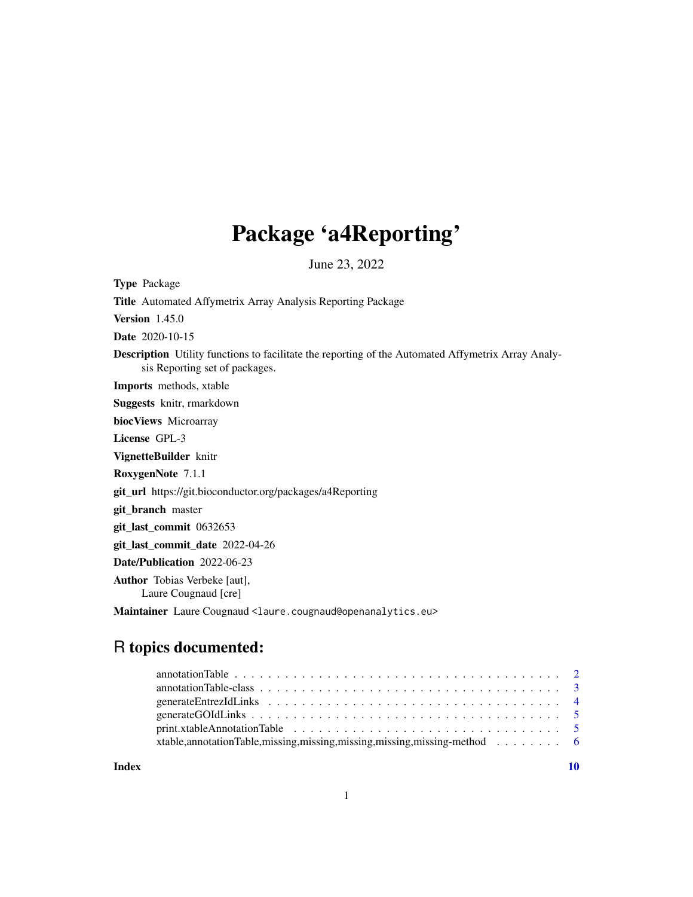## Package 'a4Reporting'

June 23, 2022

<span id="page-0-0"></span>Type Package Title Automated Affymetrix Array Analysis Reporting Package Version 1.45.0 Date 2020-10-15 Description Utility functions to facilitate the reporting of the Automated Affymetrix Array Analysis Reporting set of packages. Imports methods, xtable Suggests knitr, rmarkdown biocViews Microarray License GPL-3 VignetteBuilder knitr RoxygenNote 7.1.1 git\_url https://git.bioconductor.org/packages/a4Reporting git\_branch master git\_last\_commit 0632653 git\_last\_commit\_date 2022-04-26 Date/Publication 2022-06-23 Author Tobias Verbeke [aut], Laure Cougnaud [cre] Maintainer Laure Cougnaud <laure.cougnaud@openanalytics.eu>

## R topics documented:

| xtable, annotation Table, missing, missing, missing, missing, missing-method $\ldots \ldots \ldots$ |  |  |  |  |  |
|-----------------------------------------------------------------------------------------------------|--|--|--|--|--|
|                                                                                                     |  |  |  |  |  |

 $\blacksquare$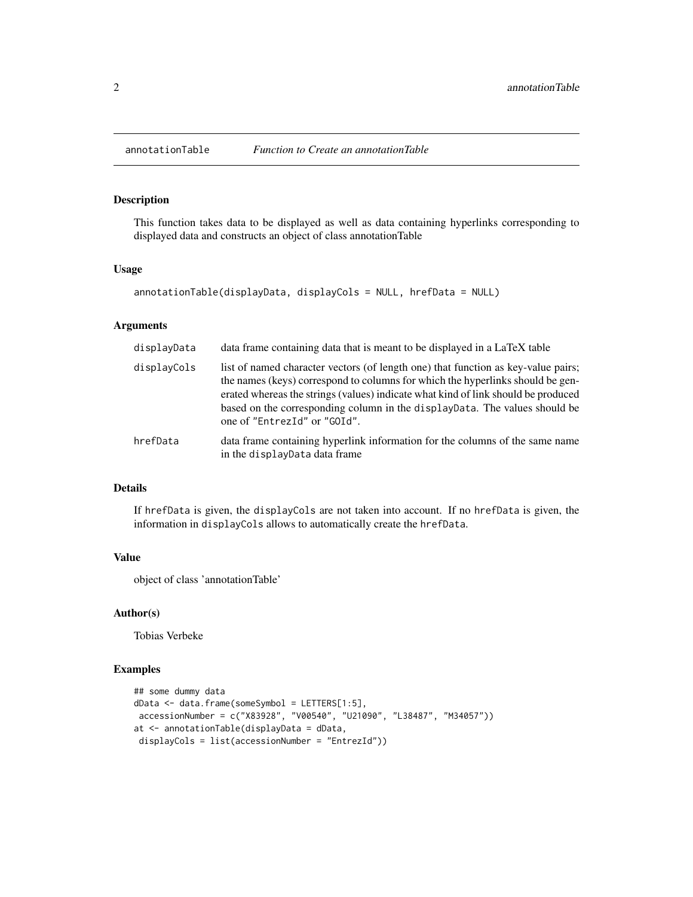<span id="page-1-0"></span>

## Description

This function takes data to be displayed as well as data containing hyperlinks corresponding to displayed data and constructs an object of class annotationTable

## Usage

```
annotationTable(displayData, displayCols = NULL, hrefData = NULL)
```
## Arguments

| displayData | data frame containing data that is meant to be displayed in a LaTeX table                                                                                                                                                                                                                                                                                              |
|-------------|------------------------------------------------------------------------------------------------------------------------------------------------------------------------------------------------------------------------------------------------------------------------------------------------------------------------------------------------------------------------|
| displayCols | list of named character vectors (of length one) that function as key-value pairs;<br>the names (keys) correspond to columns for which the hyperlinks should be gen-<br>erated whereas the strings (values) indicate what kind of link should be produced<br>based on the corresponding column in the displayData. The values should be<br>one of "EntrezId" or "GOId". |
| hrefData    | data frame containing hyperlink information for the columns of the same name<br>in the displayData data frame                                                                                                                                                                                                                                                          |

### Details

If hrefData is given, the displayCols are not taken into account. If no hrefData is given, the information in displayCols allows to automatically create the hrefData.

## Value

object of class 'annotationTable'

### Author(s)

Tobias Verbeke

### Examples

```
## some dummy data
dData <- data.frame(someSymbol = LETTERS[1:5],
accessionNumber = c("X83928", "V00540", "U21090", "L38487", "M34057"))
at <- annotationTable(displayData = dData,
 displayCols = list(accessionNumber = "EntrezId"))
```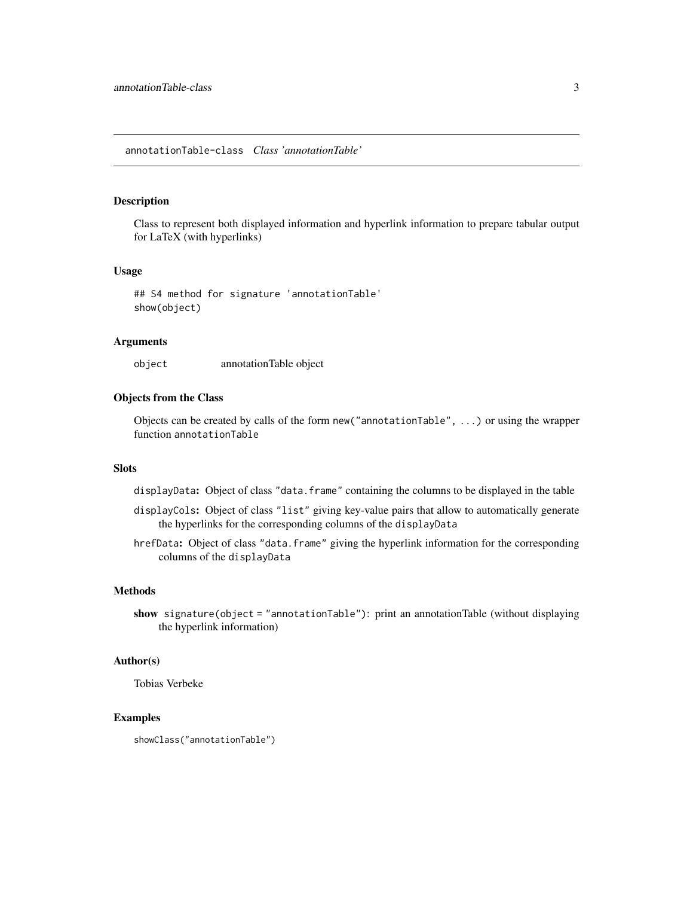<span id="page-2-0"></span>annotationTable-class *Class 'annotationTable'*

## Description

Class to represent both displayed information and hyperlink information to prepare tabular output for LaTeX (with hyperlinks)

#### Usage

## S4 method for signature 'annotationTable' show(object)

#### Arguments

object annotationTable object

## Objects from the Class

Objects can be created by calls of the form new("annotationTable", ...) or using the wrapper function annotationTable

#### Slots

displayData: Object of class "data.frame" containing the columns to be displayed in the table

- displayCols: Object of class "list" giving key-value pairs that allow to automatically generate the hyperlinks for the corresponding columns of the displayData
- hrefData: Object of class "data.frame" giving the hyperlink information for the corresponding columns of the displayData

#### Methods

show signature(object = "annotationTable"): print an annotationTable (without displaying the hyperlink information)

#### Author(s)

Tobias Verbeke

#### Examples

showClass("annotationTable")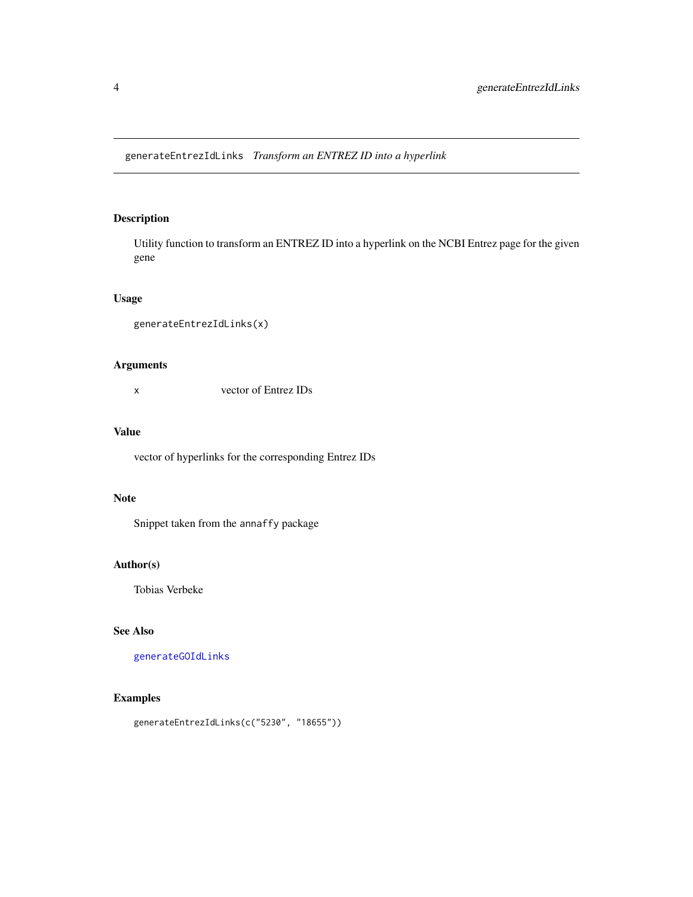<span id="page-3-1"></span><span id="page-3-0"></span>generateEntrezIdLinks *Transform an ENTREZ ID into a hyperlink*

## Description

Utility function to transform an ENTREZ ID into a hyperlink on the NCBI Entrez page for the given gene

## Usage

```
generateEntrezIdLinks(x)
```
## Arguments

x vector of Entrez IDs

## Value

vector of hyperlinks for the corresponding Entrez IDs

## Note

Snippet taken from the annaffy package

#### Author(s)

Tobias Verbeke

## See Also

[generateGOIdLinks](#page-4-1)

## Examples

```
generateEntrezIdLinks(c("5230", "18655"))
```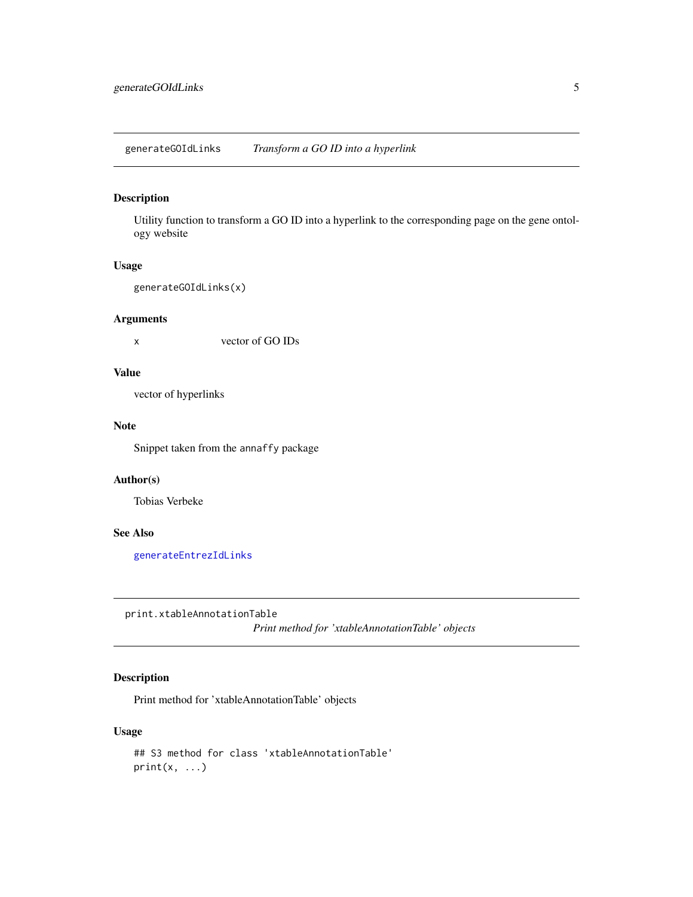<span id="page-4-1"></span><span id="page-4-0"></span>generateGOIdLinks *Transform a GO ID into a hyperlink*

## Description

Utility function to transform a GO ID into a hyperlink to the corresponding page on the gene ontology website

#### Usage

```
generateGOIdLinks(x)
```
#### Arguments

x vector of GO IDs

## Value

vector of hyperlinks

### Note

Snippet taken from the annaffy package

## Author(s)

Tobias Verbeke

## See Also

[generateEntrezIdLinks](#page-3-1)

print.xtableAnnotationTable

*Print method for 'xtableAnnotationTable' objects*

## Description

Print method for 'xtableAnnotationTable' objects

#### Usage

```
## S3 method for class 'xtableAnnotationTable'
print(x, \ldots)
```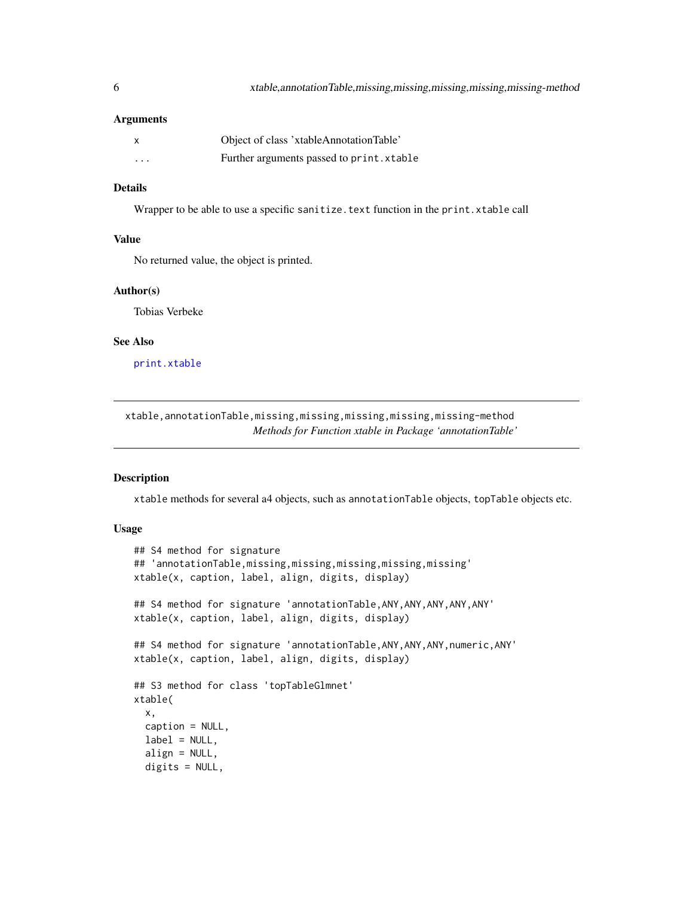#### <span id="page-5-0"></span>Arguments

| $\mathsf{x}$ | Object of class 'xtableAnnotationTable'  |
|--------------|------------------------------------------|
| $\cdots$     | Further arguments passed to print.xtable |

## Details

Wrapper to be able to use a specific sanitize.text function in the print.xtable call

#### Value

No returned value, the object is printed.

#### Author(s)

Tobias Verbeke

## See Also

[print.xtable](#page-0-0)

xtable,annotationTable,missing,missing,missing,missing,missing-method *Methods for Function xtable in Package 'annotationTable'*

#### Description

xtable methods for several a4 objects, such as annotationTable objects, topTable objects etc.

## Usage

```
## S4 method for signature
## 'annotationTable,missing,missing,missing,missing,missing'
xtable(x, caption, label, align, digits, display)
## S4 method for signature 'annotationTable, ANY, ANY, ANY, ANY, ANY'
xtable(x, caption, label, align, digits, display)
## S4 method for signature 'annotationTable,ANY,ANY,ANY,numeric,ANY'
xtable(x, caption, label, align, digits, display)
## S3 method for class 'topTableGlmnet'
xtable(
 x,
  caption = NULL,
 label = NULL,align = NULL,
  digits = NULL,
```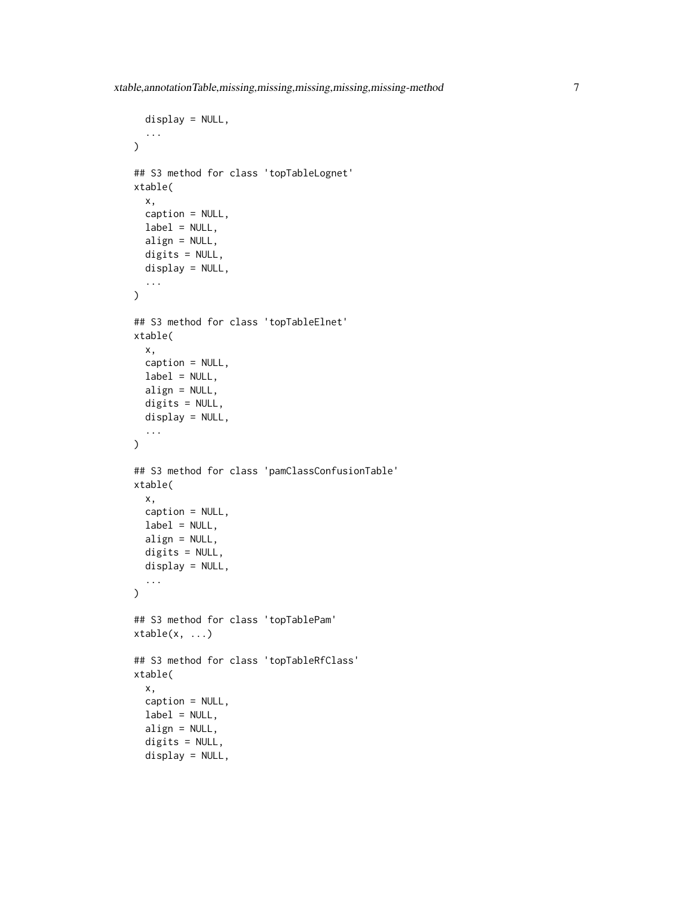```
display = NULL,
  ...
\lambda## S3 method for class 'topTableLognet'
xtable(
 x,
  caption = NULL,
 label = NULL,align = NULL,
 digits = NULL,
 display = NULL,
  ...
\mathcal{L}## S3 method for class 'topTableElnet'
xtable(
  x,
 caption = NULL,
  label = NULL,
 align = NULL,
 digits = NULL,
 display = NULL,
  ...
\mathcal{L}## S3 method for class 'pamClassConfusionTable'
xtable(
 x,
 caption = NULL,
 label = NULL,align = NULL,
 digits = NULL,
 display = NULL,
  ...
\mathcal{L}## S3 method for class 'topTablePam'
xtable(x, \ldots)## S3 method for class 'topTableRfClass'
xtable(
  x,
 caption = NULL,
 label = NULL,align = NULL,
  digits = NULL,
  display = NULL,
```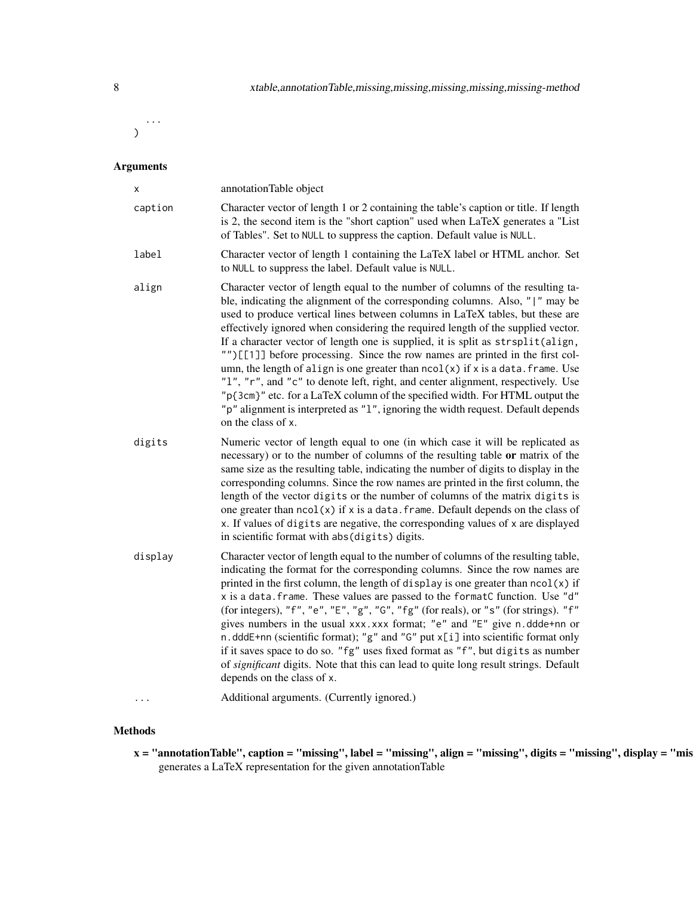...  $\mathcal{L}$ 

## Arguments

| x       | annotationTable object                                                                                                                                                                                                                                                                                                                                                                                                                                                                                                                                                                                                                                                                                                                                                                                                                                                     |
|---------|----------------------------------------------------------------------------------------------------------------------------------------------------------------------------------------------------------------------------------------------------------------------------------------------------------------------------------------------------------------------------------------------------------------------------------------------------------------------------------------------------------------------------------------------------------------------------------------------------------------------------------------------------------------------------------------------------------------------------------------------------------------------------------------------------------------------------------------------------------------------------|
| caption | Character vector of length 1 or 2 containing the table's caption or title. If length<br>is 2, the second item is the "short caption" used when LaTeX generates a "List"<br>of Tables". Set to NULL to suppress the caption. Default value is NULL.                                                                                                                                                                                                                                                                                                                                                                                                                                                                                                                                                                                                                         |
| label   | Character vector of length 1 containing the LaTeX label or HTML anchor. Set<br>to NULL to suppress the label. Default value is NULL.                                                                                                                                                                                                                                                                                                                                                                                                                                                                                                                                                                                                                                                                                                                                       |
| align   | Character vector of length equal to the number of columns of the resulting ta-<br>ble, indicating the alignment of the corresponding columns. Also, " " may be<br>used to produce vertical lines between columns in LaTeX tables, but these are<br>effectively ignored when considering the required length of the supplied vector.<br>If a character vector of length one is supplied, it is split as strsplit(align,<br>"")[[1]] before processing. Since the row names are printed in the first col-<br>umn, the length of align is one greater than $ncol(x)$ if x is a data. frame. Use<br>"1", "r", and "c" to denote left, right, and center alignment, respectively. Use<br>"p{3cm}" etc. for a LaTeX column of the specified width. For HTML output the<br>"p" alignment is interpreted as "1", ignoring the width request. Default depends<br>on the class of x. |
| digits  | Numeric vector of length equal to one (in which case it will be replicated as<br>necessary) or to the number of columns of the resulting table or matrix of the<br>same size as the resulting table, indicating the number of digits to display in the<br>corresponding columns. Since the row names are printed in the first column, the<br>length of the vector digits or the number of columns of the matrix digits is<br>one greater than $ncol(x)$ if x is a data. frame. Default depends on the class of<br>x. If values of digits are negative, the corresponding values of x are displayed<br>in scientific format with abs(digits) digits.                                                                                                                                                                                                                        |
| display | Character vector of length equal to the number of columns of the resulting table,<br>indicating the format for the corresponding columns. Since the row names are<br>printed in the first column, the length of display is one greater than $ncol(x)$ if<br>x is a data. frame. These values are passed to the formatC function. Use "d"<br>(for integers), "f", "e", "E", "g", "G", "fg" (for reals), or "s" (for strings). "f"<br>gives numbers in the usual xxx.xxx format; "e" and "E" give n.ddde+nn or<br>n.dddE+nn (scientific format); "g" and "G" put x[i] into scientific format only<br>if it saves space to do so. "fg" uses fixed format as "f", but digits as number<br>of significant digits. Note that this can lead to quite long result strings. Default<br>depends on the class of x.                                                                   |
|         | Additional arguments. (Currently ignored.)                                                                                                                                                                                                                                                                                                                                                                                                                                                                                                                                                                                                                                                                                                                                                                                                                                 |

## Methods

x = "annotationTable", caption = "missing", label = "missing", align = "missing", digits = "missing", display = "missing" generates a LaTeX representation for the given annotationTable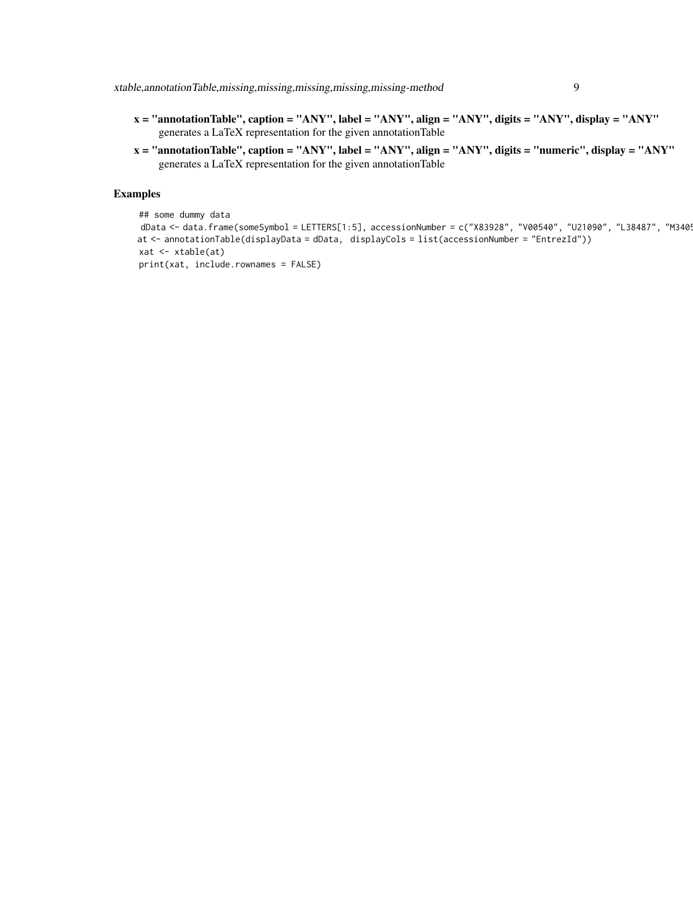- $x =$  "annotationTable", caption = "ANY", label = "ANY", align = "ANY", digits = "ANY", display = "ANY" generates a LaTeX representation for the given annotationTable
- x = "annotationTable", caption = "ANY", label = "ANY", align = "ANY", digits = "numeric", display = "ANY" generates a LaTeX representation for the given annotationTable

## Examples

```
## some dummy data
dData <- data.frame(someSymbol = LETTERS[1:5], accessionNumber = c("X83928", "V00540", "U21090", "L38487", "M340!
at <- annotationTable(displayData = dData, displayCols = list(accessionNumber = "EntrezId"))
xat <- xtable(at)
print(xat, include.rownames = FALSE)
```